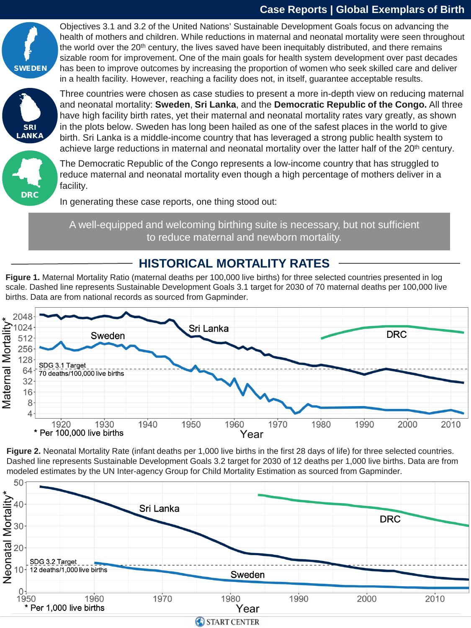#### **Case Reports | Global Exemplars of Birth**



Objectives 3.1 and 3.2 of the United Nations' Sustainable Development Goals focus on advancing the health of mothers and children. While reductions in maternal and neonatal mortality were seen throughout the world over the 20<sup>th</sup> century, the lives saved have been inequitably distributed, and there remains sizable room for improvement. One of the main goals for health system development over past decades has been to improve outcomes by increasing the proportion of women who seek skilled care and deliver in a health facility. However, reaching a facility does not, in itself, guarantee acceptable results.



Three countries were chosen as case studies to present a more in-depth view on reducing maternal and neonatal mortality: **Sweden**, **Sri Lanka**, and the **Democratic Republic of the Congo.** All three have high facility birth rates, yet their maternal and neonatal mortality rates vary greatly, as shown in the plots below. Sweden has long been hailed as one of the safest places in the world to give birth. Sri Lanka is a middle-income country that has leveraged a strong public health system to achieve large reductions in maternal and neonatal mortality over the latter half of the 20<sup>th</sup> century.



The Democratic Republic of the Congo represents a low-income country that has struggled to reduce maternal and neonatal mortality even though a high percentage of mothers deliver in a facility.

In generating these case reports, one thing stood out:

A well-equipped and welcoming birthing suite is necessary, but not sufficient to reduce maternal and newborn mortality.

#### **HISTORICAL MORTALITY RATES**

**Figure 1.** Maternal Mortality Ratio (maternal deaths per 100,000 live births) for three selected countries presented in log scale. Dashed line represents Sustainable Development Goals 3.1 target for 2030 of 70 maternal deaths per 100,000 live births. Data are from national records as sourced from Gapminder.



**Figure 2.** Neonatal Mortality Rate (infant deaths per 1,000 live births in the first 28 days of life) for three selected countries. Dashed line represents Sustainable Development Goals 3.2 target for 2030 of 12 deaths per 1,000 live births. Data are from modeled estimates by the UN Inter-agency Group for Child Mortality Estimation as sourced from Gapminder.

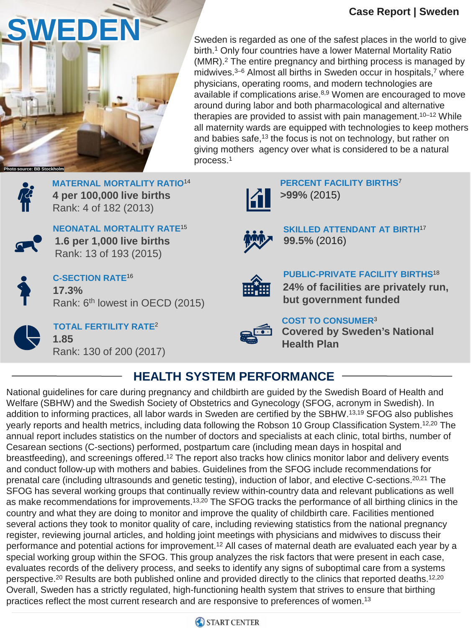#### **Case Report | Sweden**



birth.1 Only four countries have a lower Maternal Mortality Ratio (MMR).2 The entire pregnancy and birthing process is managed by midwives.<sup>3–6</sup> Almost all births in Sweden occur in hospitals,<sup>7</sup> where physicians, operating rooms, and modern technologies are available if complications arise.<sup>8,9</sup> Women are encouraged to move around during labor and both pharmacological and alternative therapies are provided to assist with pain management.<sup>10–12</sup> While all maternity wards are equipped with technologies to keep mothers and babies safe,<sup>13</sup> the focus is not on technology, but rather on giving mothers agency over what is considered to be a natural process.1



**MATERNAL MORTALITY RATIO**<sup>14</sup> **4 per 100,000 live births** Rank: 4 of 182 (2013)



**NEONATAL MORTALITY RATE**<sup>15</sup> **1.6 per 1,000 live births** Rank: 13 of 193 (2015)



**17.3%** Rank: 6<sup>th</sup> lowest in OECD (2015) **C-SECTION RATE**<sup>16</sup>



**TOTAL FERTILITY RATE**<sup>2</sup> **1.85** Rank: 130 of 200 (2017)



**PERCENT FACILITY BIRTHS**<sup>7</sup> **>99%** (2015)



**SKILLED ATTENDANT AT BIRTH**<sup>17</sup> **99.5%** (2016)



**PUBLIC-PRIVATE FACILITY BIRTHS**<sup>18</sup> **24% of facilities are privately run, but government funded**



**COST TO CONSUMER**<sup>3</sup>

**Covered by Sweden's National Health Plan**

# **HEALTH SYSTEM PERFORMANCE**

National guidelines for care during pregnancy and childbirth are guided by the Swedish Board of Health and Welfare (SBHW) and the Swedish Society of Obstetrics and Gynecology (SFOG, acronym in Swedish). In addition to informing practices, all labor wards in Sweden are certified by the SBHW.13,19 SFOG also publishes yearly reports and health metrics, including data following the Robson 10 Group Classification System.<sup>12,20</sup> The annual report includes statistics on the number of doctors and specialists at each clinic, total births, number of Cesarean sections (C-sections) performed, postpartum care (including mean days in hospital and breastfeeding), and screenings offered.<sup>12</sup> The report also tracks how clinics monitor labor and delivery events and conduct follow-up with mothers and babies. Guidelines from the SFOG include recommendations for prenatal care (including ultrasounds and genetic testing), induction of labor, and elective C-sections.<sup>20,21</sup> The SFOG has several working groups that continually review within-country data and relevant publications as well as make recommendations for improvements.<sup>13,20</sup> The SFOG tracks the performance of all birthing clinics in the country and what they are doing to monitor and improve the quality of childbirth care. Facilities mentioned several actions they took to monitor quality of care, including reviewing statistics from the national pregnancy register, reviewing journal articles, and holding joint meetings with physicians and midwives to discuss their performance and potential actions for improvement.<sup>12</sup> All cases of maternal death are evaluated each year by a special working group within the SFOG. This group analyzes the risk factors that were present in each case, evaluates records of the delivery process, and seeks to identify any signs of suboptimal care from a systems perspective.<sup>20</sup> Results are both published online and provided directly to the clinics that reported deaths.<sup>12,20</sup> Overall, Sweden has a strictly regulated, high-functioning health system that strives to ensure that birthing practices reflect the most current research and are responsive to preferences of women.<sup>13</sup>

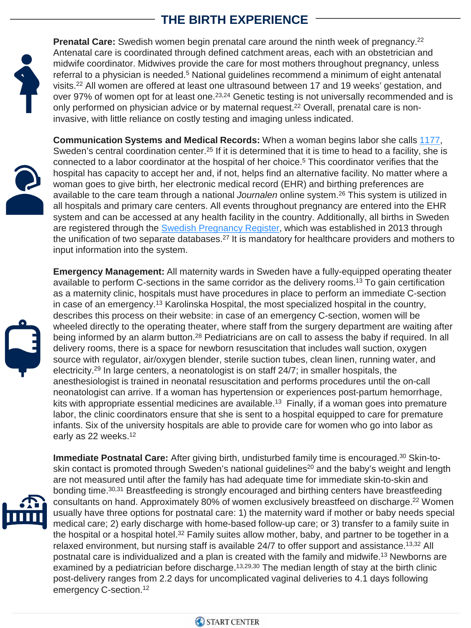# **THE BIRTH EXPERIENCE**



**Prenatal Care:** Swedish women begin prenatal care around the ninth week of pregnancy.<sup>22</sup> Antenatal care is coordinated through defined catchment areas, each with an obstetrician and midwife coordinator. Midwives provide the care for most mothers throughout pregnancy, unless referral to a physician is needed.<sup>5</sup> National guidelines recommend a minimum of eight antenatal visits.22 All women are offered at least one ultrasound between 17 and 19 weeks' gestation, and over 97% of women opt for at least one.<sup>23,24</sup> Genetic testing is not universally recommended and is only performed on physician advice or by maternal request.<sup>22</sup> Overall, prenatal care is noninvasive, with little reliance on costly testing and imaging unless indicated.



**Communication Systems and Medical Records:** When a woman begins labor she calls [1177,](https://www.1177.se/Vastra-Gotaland/barn--gravid/forlossning/pa-forlossningen-och-bb/pa-forlossningsavdelningen/) Sweden's central coordination center.<sup>25</sup> If it is determined that it is time to head to a facility, she is connected to a labor coordinator at the hospital of her choice.5 This coordinator verifies that the hospital has capacity to accept her and, if not, helps find an alternative facility. No matter where a woman goes to give birth, her electronic medical record (EHR) and birthing preferences are available to the care team through a national *Journalen* online system.26 This system is utilized in all hospitals and primary care centers. All events throughout pregnancy are entered into the EHR system and can be accessed at any health facility in the country. Additionally, all births in Sweden are registered through the [Swedish Pregnancy Register,](https://www.medscinet.com/gr/default.aspx) which was established in 2013 through the unification of two separate databases.<sup>27</sup> It is mandatory for healthcare providers and mothers to input information into the system.



**Emergency Management:** All maternity wards in Sweden have a fully-equipped operating theater available to perform C-sections in the same corridor as the delivery rooms.13 To gain certification as a maternity clinic, hospitals must have procedures in place to perform an immediate C-section in case of an emergency.<sup>13</sup> Karolinska Hospital, the most specialized hospital in the country, describes this process on their website: in case of an emergency C-section, women will be wheeled directly to the operating theater, where staff from the surgery department are waiting after being informed by an alarm button.<sup>28</sup> Pediatricians are on call to assess the baby if required. In all delivery rooms, there is a space for newborn resuscitation that includes wall suction, oxygen source with regulator, air/oxygen blender, sterile suction tubes, clean linen, running water, and electricity.29 In large centers, a neonatologist is on staff 24/7; in smaller hospitals, the anesthesiologist is trained in neonatal resuscitation and performs procedures until the on-call neonatologist can arrive. If a woman has hypertension or experiences post-partum hemorrhage, kits with appropriate essential medicines are available.<sup>13</sup> Finally, if a woman goes into premature labor, the clinic coordinators ensure that she is sent to a hospital equipped to care for premature infants. Six of the university hospitals are able to provide care for women who go into labor as early as 22 weeks.<sup>12</sup>



**Immediate Postnatal Care:** After giving birth, undisturbed family time is encouraged.30 Skin-toskin contact is promoted through Sweden's national guidelines<sup>20</sup> and the baby's weight and length are not measured until after the family has had adequate time for immediate skin-to-skin and bonding time.<sup>30,31</sup> Breastfeeding is strongly encouraged and birthing centers have breastfeeding consultants on hand. Approximately 80% of women exclusively breastfeed on discharge.<sup>22</sup> Women usually have three options for postnatal care: 1) the maternity ward if mother or baby needs special medical care; 2) early discharge with home-based follow-up care; or 3) transfer to a family suite in the hospital or a hospital hotel.<sup>32</sup> Family suites allow mother, baby, and partner to be together in a relaxed environment, but nursing staff is available 24/7 to offer support and assistance.<sup>13,32</sup> All postnatal care is individualized and a plan is created with the family and midwife.<sup>13</sup> Newborns are examined by a pediatrician before discharge.<sup>13,29,30</sup> The median length of stay at the birth clinic post-delivery ranges from 2.2 days for uncomplicated vaginal deliveries to 4.1 days following emergency C-section.<sup>12</sup>

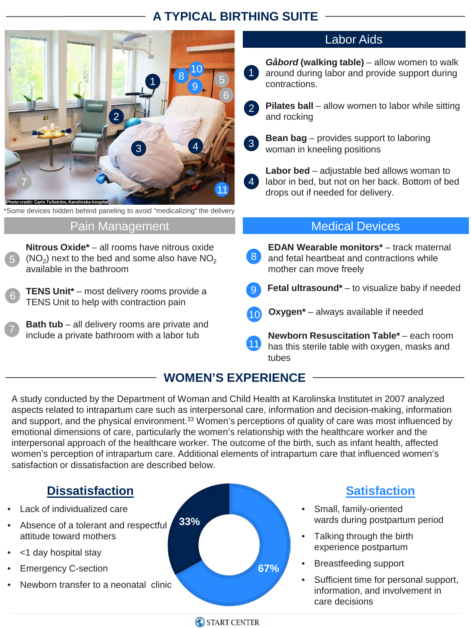## **A TYPICAL BIRTHING SUITE**



\*Some devices hidden behind paneling to avoid "medicalizing" the delivery

#### Pain Management

**Nitrous Oxide\*** – all rooms have nitrous oxide  $(NO<sub>2</sub>)$  next to the bed and some also have  $NO<sub>2</sub>$ available in the bathroom

**TENS Unit\*** – most delivery rooms provide a TENS Unit to help with contraction pain

**Bath tub** – all delivery rooms are private and include a private bathroom with a labor tub

#### Labor Aids

- *Gåbord* **(walking table)**  allow women to walk around during labor and provide support during contractions.
- 2

1

- **Pilates ball** allow women to labor while sitting and rocking
- 3
- **Bean bag**  provides support to laboring woman in kneeling positions



**Labor bed** – adjustable bed allows woman to labor in bed, but not on her back. Bottom of bed drops out if needed for delivery.

#### Medical Devices

- **EDAN Wearable monitors**<sup>\*</sup> track maternal and fetal heartbeat and contractions while mother can move freely 8
- **Fetal ultrasound\*** to visualize baby if needed
- 10 **Oxygen\*** always available if needed
- 10 11 **Newborn Resuscitation Table\*** – each room has this sterile table with oxygen, masks and tubes

#### **WOMEN'S EXPERIENCE**

A study conducted by the Department of Woman and Child Health at Karolinska Institutet in 2007 analyzed aspects related to intrapartum care such as interpersonal care, information and decision-making, information and support, and the physical environment.<sup>33</sup> Women's perceptions of quality of care was most influenced by emotional dimensions of care, particularly the women's relationship with the healthcare worker and the interpersonal approach of the healthcare worker. The outcome of the birth, such as infant health, affected women's perception of intrapartum care. Additional elements of intrapartum care that influenced women's satisfaction or dissatisfaction are described below.

### **Dissatisfaction**

- Lack of individualized care
- Absence of a tolerant and respectful attitude toward mothers
- <1 day hospital stay

6

7

5

- Emergency C-section
- Newborn transfer to a neonatal clinic



START CENTER

## **Satisfaction**

- Small, family-oriented wards during postpartum period
- Talking through the birth experience postpartum
- Breastfeeding support
- Sufficient time for personal support, information, and involvement in care decisions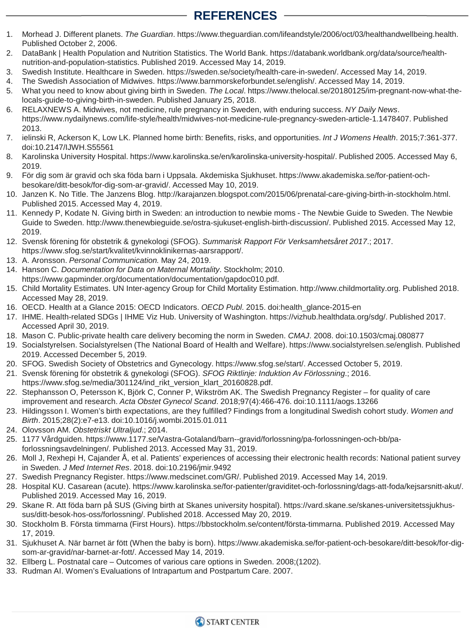## **REFERENCES**

- 1. Morhead J. Different planets. *The Guardian*. https://www.theguardian.com/lifeandstyle/2006/oct/03/healthandwellbeing.health. Published October 2, 2006.
- 2. DataBank | Health Population and Nutrition Statistics. The World Bank. https://databank.worldbank.org/data/source/healthnutrition-and-population-statistics. Published 2019. Accessed May 14, 2019.
- 3. Swedish Institute. Healthcare in Sweden. https://sweden.se/society/health-care-in-sweden/. Accessed May 14, 2019.
- 4. The Swedish Association of Midwives. https://www.barnmorskeforbundet.se/english/. Accessed May 14, 2019.
- 5. What you need to know about giving birth in Sweden. *The Local*. https://www.thelocal.se/20180125/im-pregnant-now-what-thelocals-guide-to-giving-birth-in-sweden. Published January 25, 2018.
- 6. RELAXNEWS A. Midwives, not medicine, rule pregnancy in Sweden, with enduring success. *NY Daily News*. https://www.nydailynews.com/life-style/health/midwives-not-medicine-rule-pregnancy-sweden-article-1.1478407. Published 2013.
- 7. ielinski R, Ackerson K, Low LK. Planned home birth: Benefits, risks, and opportunities. *Int J Womens Health*. 2015;7:361-377. doi:10.2147/IJWH.S55561
- 8. Karolinska University Hospital. https://www.karolinska.se/en/karolinska-university-hospital/. Published 2005. Accessed May 6, 2019.
- 9. För dig som är gravid och ska föda barn i Uppsala. Akdemiska Sjukhuset. https://www.akademiska.se/for-patient-ochbesokare/ditt-besok/for-dig-som-ar-gravid/. Accessed May 10, 2019.
- 10. Janzen K. No Title. The Janzens Blog. http://karajanzen.blogspot.com/2015/06/prenatal-care-giving-birth-in-stockholm.html. Published 2015. Accessed May 4, 2019.
- 11. Kennedy P, Kodate N. Giving birth in Sweden: an introduction to newbie moms The Newbie Guide to Sweden. The Newbie Guide to Sweden. http://www.thenewbieguide.se/ostra-sjukuset-english-birth-discussion/. Published 2015. Accessed May 12, 2019.
- 12. Svensk förening för obstetrik & gynekologi (SFOG). *Summarisk Rapport För Verksamhetsåret 2017*.; 2017. https://www.sfog.se/start/kvalitet/kvinnoklinikernas-aarsrapport/.
- 13. A. Aronsson. *Personal Communication.* May 24, 2019.
- 14. Hanson C. *Documentation for Data on Maternal Mortality*. Stockholm; 2010. https://www.gapminder.org/documentation/documentation/gapdoc010.pdf.
- 15. Child Mortality Estimates. UN Inter-agency Group for Child Mortality Estimation. http://www.childmortality.org. Published 2018. Accessed May 28, 2019.
- 16. OECD. Health at a Glance 2015: OECD Indicators. *OECD Publ*. 2015. doi:health\_glance-2015-en
- 17. IHME. Health-related SDGs | IHME Viz Hub. University of Washington. https://vizhub.healthdata.org/sdg/. Published 2017. Accessed April 30, 2019.
- 18. Mason C. Public-private health care delivery becoming the norm in Sweden. *CMAJ*. 2008. doi:10.1503/cmaj.080877
- 19. Socialstyrelsen. Socialstyrelsen (The National Board of Health and Welfare). https://www.socialstyrelsen.se/english. Published 2019. Accessed December 5, 2019.
- 20. SFOG. Swedish Society of Obstetrics and Gynecology. https://www.sfog.se/start/. Accessed October 5, 2019.
- 21. Svensk förening för obstetrik & gynekologi (SFOG). *SFOG Riktlinje: Induktion Av Förlossning*.; 2016. https://www.sfog.se/media/301124/ind\_rikt\_version\_klart\_20160828.pdf.
- 22. Stephansson O, Petersson K, Björk C, Conner P, Wikström AK. The Swedish Pregnancy Register for quality of care improvement and research. *Acta Obstet Gynecol Scand*. 2018;97(4):466-476. doi:10.1111/aogs.13266
- 23. Hildingsson I. Women's birth expectations, are they fulfilled? Findings from a longitudinal Swedish cohort study. *Women and Birth*. 2015;28(2):e7-e13. doi:10.1016/j.wombi.2015.01.011
- 24. Olovsson AM. *Obstetriskt Ultraljud*.; 2014.
- 25. 1177 Vårdguiden. https://www.1177.se/Vastra-Gotaland/barn--gravid/forlossning/pa-forlossningen-och-bb/paforlossningsavdelningen/. Published 2013. Accessed May 31, 2019.
- 26. Moll J, Rexhepi H, Cajander Å, et al. Patients' experiences of accessing their electronic health records: National patient survey in Sweden. *J Med Internet Res*. 2018. doi:10.2196/jmir.9492
- 27. Swedish Pregnancy Register. https://www.medscinet.com/GR/. Published 2019. Accessed May 14, 2019.
- 28. Hospital KU. Casarean (acute). https://www.karolinska.se/for-patienter/graviditet-och-forlossning/dags-att-foda/kejsarsnitt-akut/. Published 2019. Accessed May 16, 2019.
- 29. Skane R. Att föda barn på SUS (Giving birth at Skanes university hospital). https://vard.skane.se/skanes-universitetssjukhussus/ditt-besok-hos-oss/forlossning/. Published 2018. Accessed May 20, 2019.
- 30. Stockholm B. Första timmarna (First Hours). https://bbstockholm.se/content/första-timmarna. Published 2019. Accessed May 17, 2019.
- 31. Sjukhuset A. När barnet är fött (When the baby is born). https://www.akademiska.se/for-patient-och-besokare/ditt-besok/for-digsom-ar-gravid/nar-barnet-ar-fott/. Accessed May 14, 2019.
- 32. Ellberg L. Postnatal care Outcomes of various care options in Sweden. 2008;(1202).
- 33. Rudman AI. Women's Evaluations of Intrapartum and Postpartum Care. 2007.

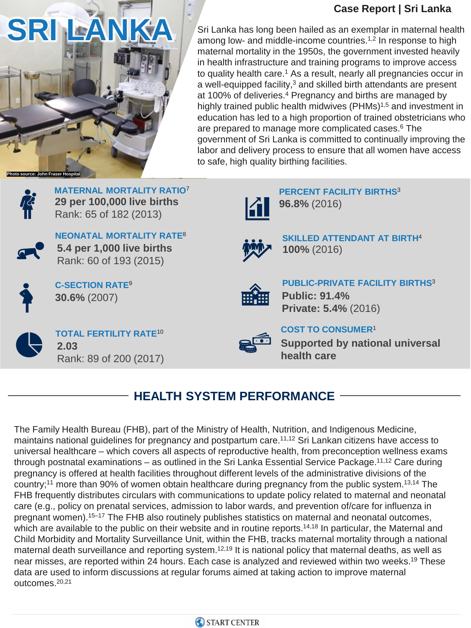#### **Case Report | Sri Lanka**



Sri Lanka has long been hailed as an exemplar in maternal health among low- and middle-income countries.<sup>1,2</sup> In response to high maternal mortality in the 1950s, the government invested heavily in health infrastructure and training programs to improve access to quality health care.<sup>1</sup> As a result, nearly all pregnancies occur in a well-equipped facility,<sup>3</sup> and skilled birth attendants are present at 100% of deliveries.<sup>4</sup> Pregnancy and births are managed by highly trained public health midwives (PHMs)<sup>1,5</sup> and investment in education has led to a high proportion of trained obstetricians who are prepared to manage more complicated cases.<sup>6</sup> The government of Sri Lanka is committed to continually improving the labor and delivery process to ensure that all women have access to safe, high quality birthing facilities.



**MATERNAL MORTALITY RATIO**<sup>7</sup> **29 per 100,000 live births** Rank: 65 of 182 (2013)



**NEONATAL MORTALITY RATE**<sup>8</sup> **5.4 per 1,000 live births** Rank: 60 of 193 (2015)



**30.6%** (2007) **C-SECTION RATE**<sup>9</sup>



**TOTAL FERTILITY RATE**<sup>10</sup> **2.03**  Rank: 89 of 200 (2017)



**SKILLED ATTENDANT AT BIRTH**<sup>4</sup> **100%** (2016)

**PERCENT FACILITY BIRTHS**<sup>3</sup>

**96.8%** (2016)



**PUBLIC-PRIVATE FACILITY BIRTHS**<sup>3</sup> **Public: 91.4% Private: 5.4%** (2016)



# **HEALTH SYSTEM PERFORMANCE**

The Family Health Bureau (FHB), part of the Ministry of Health, Nutrition, and Indigenous Medicine, maintains national guidelines for pregnancy and postpartum care.<sup>11,12</sup> Sri Lankan citizens have access to universal healthcare – which covers all aspects of reproductive health, from preconception wellness exams through postnatal examinations – as outlined in the Sri Lanka Essential Service Package.<sup>11,12</sup> Care during pregnancy is offered at health facilities throughout different levels of the administrative divisions of the country;<sup>11</sup> more than 90% of women obtain healthcare during pregnancy from the public system.<sup>13,14</sup> The FHB frequently distributes circulars with communications to update policy related to maternal and neonatal care (e.g., policy on prenatal services, admission to labor wards, and prevention of/care for influenza in pregnant women).<sup>15–17</sup> The FHB also routinely publishes statistics on maternal and neonatal outcomes, which are available to the public on their website and in routine reports.<sup>14,18</sup> In particular, the Maternal and Child Morbidity and Mortality Surveillance Unit, within the FHB, tracks maternal mortality through a national maternal death surveillance and reporting system.<sup>12,19</sup> It is national policy that maternal deaths, as well as near misses, are reported within 24 hours. Each case is analyzed and reviewed within two weeks.<sup>19</sup> These data are used to inform discussions at regular forums aimed at taking action to improve maternal outcomes.20,21

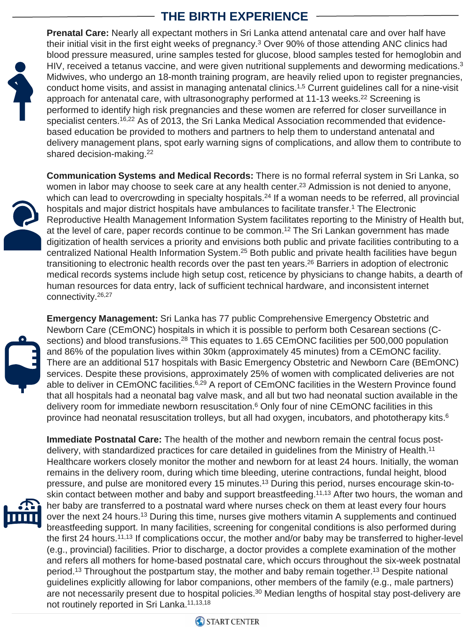## **THE BIRTH EXPERIENCE**



**Prenatal Care:** Nearly all expectant mothers in Sri Lanka attend antenatal care and over half have their initial visit in the first eight weeks of pregnancy.3 Over 90% of those attending ANC clinics had blood pressure measured, urine samples tested for glucose, blood samples tested for hemoglobin and HIV, received a tetanus vaccine, and were given nutritional supplements and deworming medications.<sup>3</sup> Midwives, who undergo an 18-month training program, are heavily relied upon to register pregnancies, conduct home visits, and assist in managing antenatal clinics.1,5 Current guidelines call for a nine-visit approach for antenatal care, with ultrasonography performed at 11-13 weeks.<sup>22</sup> Screening is performed to identify high risk pregnancies and these women are referred for closer surveillance in specialist centers.<sup>16,22</sup> As of 2013, the Sri Lanka Medical Association recommended that evidencebased education be provided to mothers and partners to help them to understand antenatal and delivery management plans, spot early warning signs of complications, and allow them to contribute to shared decision-making.22

**Communication Systems and Medical Records:** There is no formal referral system in Sri Lanka, so women in labor may choose to seek care at any health center.<sup>23</sup> Admission is not denied to anyone, which can lead to overcrowding in specialty hospitals.<sup>24</sup> If a woman needs to be referred, all provincial hospitals and major district hospitals have ambulances to facilitate transfer.1 The Electronic Reproductive Health Management Information System facilitates reporting to the Ministry of Health but, at the level of care, paper records continue to be common.<sup>12</sup> The Sri Lankan government has made digitization of health services a priority and envisions both public and private facilities contributing to a centralized National Health Information System.25 Both public and private health facilities have begun transitioning to electronic health records over the past ten years.26 Barriers in adoption of electronic medical records systems include high setup cost, reticence by physicians to change habits, a dearth of human resources for data entry, lack of sufficient technical hardware, and inconsistent internet connectivity.26,27

**Emergency Management:** Sri Lanka has 77 public Comprehensive Emergency Obstetric and Newborn Care (CEmONC) hospitals in which it is possible to perform both Cesarean sections (Csections) and blood transfusions.<sup>28</sup> This equates to 1.65 CEmONC facilities per 500,000 population and 86% of the population lives within 30km (approximately 45 minutes) from a CEmONC facility. There are an additional 517 hospitals with Basic Emergency Obstetric and Newborn Care (BEmONC) services. Despite these provisions, approximately 25% of women with complicated deliveries are not able to deliver in CEmONC facilities.<sup>6,29</sup> A report of CEmONC facilities in the Western Province found that all hospitals had a neonatal bag valve mask, and all but two had neonatal suction available in the delivery room for immediate newborn resuscitation.6 Only four of nine CEmONC facilities in this province had neonatal resuscitation trolleys, but all had oxygen, incubators, and phototherapy kits.<sup>6</sup>

**Immediate Postnatal Care:** The health of the mother and newborn remain the central focus postdelivery, with standardized practices for care detailed in guidelines from the Ministry of Health.11 Healthcare workers closely monitor the mother and newborn for at least 24 hours. Initially, the woman remains in the delivery room, during which time bleeding, uterine contractions, fundal height, blood pressure, and pulse are monitored every 15 minutes.13 During this period, nurses encourage skin-toskin contact between mother and baby and support breastfeeding.<sup>11,13</sup> After two hours, the woman and her baby are transferred to a postnatal ward where nurses check on them at least every four hours over the next 24 hours.<sup>13</sup> During this time, nurses give mothers vitamin A supplements and continued breastfeeding support. In many facilities, screening for congenital conditions is also performed during the first 24 hours.11,13 If complications occur, the mother and/or baby may be transferred to higher-level (e.g., provincial) facilities. Prior to discharge, a doctor provides a complete examination of the mother and refers all mothers for home-based postnatal care, which occurs throughout the six-week postnatal period.<sup>13</sup> Throughout the postpartum stay, the mother and baby remain together.<sup>13</sup> Despite national guidelines explicitly allowing for labor companions, other members of the family (e.g., male partners) are not necessarily present due to hospital policies.<sup>30</sup> Median lengths of hospital stay post-delivery are not routinely reported in Sri Lanka.<sup>11,13,18</sup>

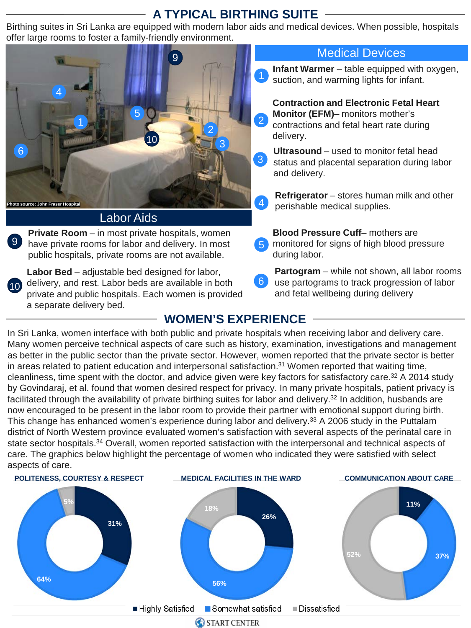## **A TYPICAL BIRTHING SUITE**

Birthing suites in Sri Lanka are equipped with modern labor aids and medical devices. When possible, hospitals offer large rooms to foster a family-friendly environment.



#### Labor Aids

9 have private rooms for labor and delivery. In most **Private Room** – in most private hospitals, women public hospitals, private rooms are not available.

**Labor Bed** – adjustable bed designed for labor, 10 delivery, and rest. Labor beds are available in both private and public hospitals. Each women is provided a separate delivery bed.

#### Medical Devices

- **Infant Warmer**  table equipped with oxygen, suction, and warming lights for infant.
- **Contraction and Electronic Fetal Heart Monitor (EFM)**– monitors mother's contractions and fetal heart rate during delivery.
- status and placental separation during labor and delivery. 3
- **A Refrigerator** stores human milk and other perishable medical supplies.
- 5 **Blood Pressure Cuff**– mothers are monitored for signs of high blood pressure during labor.
- 6 **Partogram** – while not shown, all labor rooms use partograms to track progression of labor and fetal wellbeing during delivery

## **WOMEN'S EXPERIENCE**

In Sri Lanka, women interface with both public and private hospitals when receiving labor and delivery care. Many women perceive technical aspects of care such as history, examination, investigations and management as better in the public sector than the private sector. However, women reported that the private sector is better in areas related to patient education and interpersonal satisfaction.<sup>31</sup> Women reported that waiting time, cleanliness, time spent with the doctor, and advice given were key factors for satisfactory care.<sup>32</sup> A 2014 study by Govindaraj, et al. found that women desired respect for privacy. In many private hospitals, patient privacy is facilitated through the availability of private birthing suites for labor and delivery.<sup>32</sup> In addition, husbands are now encouraged to be present in the labor room to provide their partner with emotional support during birth. This change has enhanced women's experience during labor and delivery.<sup>33</sup> A 2006 study in the Puttalam district of North Western province evaluated women's satisfaction with several aspects of the perinatal care in state sector hospitals.<sup>34</sup> Overall, women reported satisfaction with the interpersonal and technical aspects of care. The graphics below highlight the percentage of women who indicated they were satisfied with select aspects of care.

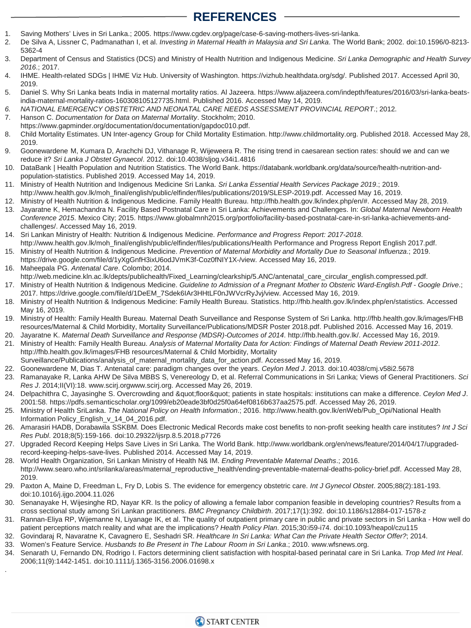## **REFERENCES**

- 1. Saving Mothers' Lives in Sri Lanka.; 2005. https://www.cgdev.org/page/case-6-saving-mothers-lives-sri-lanka.
- 2. De Silva A, Lissner C, Padmanathan I, et al. *Investing in Maternal Health in Malaysia and Sri Lanka*. The World Bank; 2002. doi:10.1596/0-8213- 5362-4
- 3. Department of Census and Statistics (DCS) and Ministry of Health Nutrition and Indigenous Medicine. *Sri Lanka Demographic and Health Survey 2016*.; 2017.
- 4. IHME. Health-related SDGs | IHME Viz Hub. University of Washington. https://vizhub.healthdata.org/sdg/. Published 2017. Accessed April 30, 2019.
- 5. Daniel S. Why Sri Lanka beats India in maternal mortality ratios. Al Jazeera. https://www.aljazeera.com/indepth/features/2016/03/sri-lanka-beatsindia-maternal-mortality-ratios-160308105127735.html. Published 2016. Accessed May 14, 2019.
- *6. NATIONAL EMERGENCY OBSTETRIC AND NEONATAL CARE NEEDS ASSESSMENT PROVINCIAL REPORT*.; 2012.
- 7. Hanson C. *Documentation for Data on Maternal Mortality*. Stockholm; 2010. https://www.gapminder.org/documentation/documentation/gapdoc010.pdf.
- 8. Child Mortality Estimates. UN Inter-agency Group for Child Mortality Estimation. http://www.childmortality.org. Published 2018. Accessed May 28, 2019.
- 9. Goonewardene M, Kumara D, Arachchi DJ, Vithanage R, Wijeweera R. The rising trend in caesarean section rates: should we and can we reduce it? *Sri Lanka J Obstet Gynaecol*. 2012. doi:10.4038/sljog.v34i1.4816
- 10. DataBank | Health Population and Nutrition Statistics. The World Bank. https://databank.worldbank.org/data/source/health-nutrition-andpopulation-statistics. Published 2019. Accessed May 14, 2019.
- 11. Ministry of Health Nutrition and Indigenous Medicine Sri Lanka. *Sri Lanka Essential Health Services Package 2019*.; 2019. http://www.health.gov.lk/moh\_final/english/public/elfinder/files/publications/2019/SLESP-2019.pdf. Accessed May 16, 2019.
- 12. Ministry of Health Nutrition & Indigenous Medicine. Family Health Bureau. http://fhb.health.gov.lk/index.php/en/#. Accessed May 28, 2019.
- 13. Jayaratne K, Hemachandra N. Facility Based Postnatal Care in Sri Lanka: Achievements and Challenges. In: *Global Maternal Newborn Health Conference 2015*. Mexico City; 2015. https://www.globalmnh2015.org/portfolio/facility-based-postnatal-care-in-sri-lanka-achievements-andchallenges/. Accessed May 16, 2019.
- 14. Sri Lankan Ministry of Health: Nutrition & Indigenous Medicine. *Performance and Progress Report: 2017-2018*. http://www.health.gov.lk/moh\_final/english/public/elfinder/files/publications/Health Performance and Progress Report English 2017.pdf.
- 15. Ministry of Health Nutrition & Indigenous Medicine. *Prevention of Maternal Morbidity and Mortality Due to Seasonal Influenza*.; 2019. https://drive.google.com/file/d/1yXgGnfH3ixU6odJVmK3f-Coz0fNIY1X-/view. Accessed May 16, 2019.
- 16. Maheepala PG. *Antenatal Care*. Colombo; 2014. http://web.medicine.kln.ac.lk/depts/publichealth/Fixed\_Learning/clearkship/5.ANC/antenatal\_care\_circular\_english.compressed.pdf.
- 17. Ministry of Health Nutrition & Indigenous Medicine. *Guideline to Admission of a Pregnant Mother to Obsteric Ward-English.Pdf - Google Drive*.; 2017. https://drive.google.com/file/d/1DeEM\_7Sdek6IAr3HHtLF0nJWVcrRyJvj/view. Accessed May 16, 2019.
- 18. Ministry of Health Nutrition & Indigenous Medicine: Family Health Bureau. Statistics. http://fhb.health.gov.lk/index.php/en/statistics. Accessed May 16, 2019.
- 19. Ministry of Health: Family Health Bureau. Maternal Death Surveillance and Response System of Sri Lanka. http://fhb.health.gov.lk/images/FHB resources/Maternal & Child Morbidity, Mortality Surveillance/Publications/MDSR Poster 2018.pdf. Published 2016. Accessed May 16, 2019.
- 20. Jayaratne K. *Maternal Death Surveillance and Response (MDSR)-Outcomes of 2014*. http://fhb.health.gov.lk/. Accessed May 16, 2019.
- 21. Ministry of Health: Family Health Bureau. *Analysis of Maternal Mortality Data for Action: Findings of Maternal Death Review 2011-2012*. http://fhb.health.gov.lk/images/FHB resources/Maternal & Child Morbidity, Mortality Surveillance/Publications/analysis\_of\_maternal\_mortality\_data\_for\_action.pdf. Accessed May 16, 2019.
- 22. Goonewardene M, Dias T. Antenatal care: paradigm changes over the years. *Ceylon Med J*. 2013. doi:10.4038/cmj.v58i2.5678
- 23. Ramanayake R, Lanka AHW De Silva MBBS S, Venereology D, et al. Referral Communications in Sri Lanka; Views of General Practitioners. *Sci Res J*. 2014;II(VI):18. www.scirj.orgwww.scirj.org. Accessed May 26, 2019.
- 24. Delpachithra C, Jayasinghe S. Overcrowding and "floor" patients in state hospitals: institutions can make a difference. Ceylon Med J. 2001:58. https://pdfs.semanticscholar.org/1099/eb20eade3bf0d25f0a64ef0816b637aa2575.pdf. Accessed May 26, 2019.
- 25. Ministry of Health SriLanka. *The National Policy on Health Information*.; 2016. http://www.health.gov.lk/enWeb/Pub\_Opi/National Health Information Policy\_English\_v\_14\_04\_2016.pdf.
- 26. Amarasiri HADB, Dorabawila SSKBM. Does Electronic Medical Records make cost benefits to non-profit seeking health care institutes? *Int J Sci Res Publ*. 2018;8(5):159-166. doi:10.29322/ijsrp.8.5.2018.p7726
- 27. Upgraded Record Keeping Helps Save Lives in Sri Lanka. The World Bank. http://www.worldbank.org/en/news/feature/2014/04/17/upgradedrecord-keeping-helps-save-lives. Published 2014. Accessed May 14, 2019.
- 28. World Health Organization, Sri Lankan Ministry of Health N& IM. *Ending Preventable Maternal Deaths*.; 2016. http://www.searo.who.int/srilanka/areas/maternal\_reproductive\_health/ending-preventable-maternal-deaths-policy-brief.pdf. Accessed May 28, 2019.
- 29. Paxton A, Maine D, Freedman L, Fry D, Lobis S. The evidence for emergency obstetric care. *Int J Gynecol Obstet*. 2005;88(2):181-193. doi:10.1016/j.ijgo.2004.11.026
- 30. Senanayake H, Wijesinghe RD, Nayar KR. Is the policy of allowing a female labor companion feasible in developing countries? Results from a cross sectional study among Sri Lankan practitioners. *BMC Pregnancy Childbirth*. 2017;17(1):392. doi:10.1186/s12884-017-1578-z
- 31. Rannan-Eliya RP, Wijemanne N, Liyanage IK, et al. The quality of outpatient primary care in public and private sectors in Sri Lanka How well do patient perceptions match reality and what are the implications? *Health Policy Plan*. 2015;30:i59-i74. doi:10.1093/heapol/czu115
- 32. Govindaraj R, Navaratne K, Cavagnero E, Seshadri SR. *Healthcare In Sri Lanka: What Can the Private Health Sector Offer?*; 2014.
- 33. Women's Feature Service. *Husbands to Be Present in The Labour Room in Sri Lanka*.; 2010. www.wfsnews.org.

.

34. Senarath U, Fernando DN, Rodrigo I. Factors determining client satisfaction with hospital-based perinatal care in Sri Lanka. *Trop Med Int Heal*. 2006;11(9):1442-1451. doi:10.1111/j.1365-3156.2006.01698.x

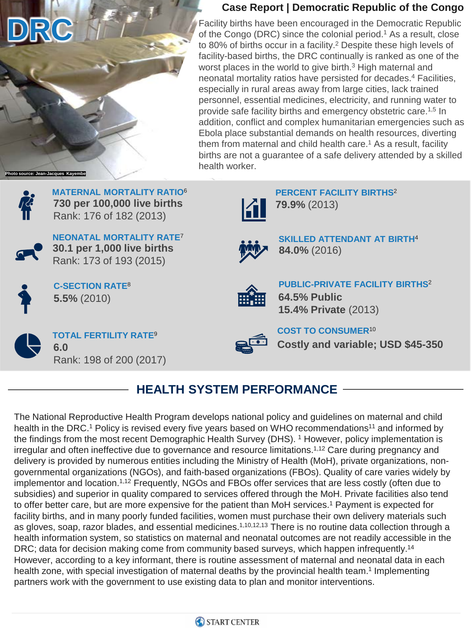

#### **Case Report | Democratic Republic of the Congo**

Facility births have been encouraged in the Democratic Republic of the Congo (DRC) since the colonial period.<sup>1</sup> As a result, close to 80% of births occur in a facility.2 Despite these high levels of facility-based births, the DRC continually is ranked as one of the worst places in the world to give birth.<sup>3</sup> High maternal and neonatal mortality ratios have persisted for decades.4 Facilities, especially in rural areas away from large cities, lack trained personnel, essential medicines, electricity, and running water to provide safe facility births and emergency obstetric care.1,5 In addition, conflict and complex humanitarian emergencies such as Ebola place substantial demands on health resources, diverting them from maternal and child health care.<sup>1</sup> As a result, facility births are not a guarantee of a safe delivery attended by a skilled health worker.



**MATERNAL MORTALITY RATIO**<sup>6</sup> **730 per 100,000 live births** Rank: 176 of 182 (2013)



**NEONATAL MORTALITY RATE**<sup>7</sup> **30.1 per 1,000 live births** Rank: 173 of 193 (2015)



**5.5%** (2010) **C-SECTION RATE**<sup>8</sup>



**TOTAL FERTILITY RATE**<sup>9</sup> **6.0**  Rank: 198 of 200 (2017)



**15.4% Private** (2013) **COST TO CONSUMER**<sup>10</sup>

**PUBLIC-PRIVATE FACILITY BIRTHS**<sup>2</sup>

**SKILLED ATTENDANT AT BIRTH**<sup>4</sup>

**PERCENT FACILITY BIRTHS**<sup>2</sup>

**79.9%** (2013)

**84.0%** (2016)

**64.5% Public**

**Costly and variable; USD \$45-350**

# **HEALTH SYSTEM PERFORMANCE**

The National Reproductive Health Program develops national policy and guidelines on maternal and child health in the DRC.<sup>1</sup> Policy is revised every five years based on WHO recommendations<sup>11</sup> and informed by the findings from the most recent Demographic Health Survey (DHS). 1 However, policy implementation is irregular and often ineffective due to governance and resource limitations.<sup>1,12</sup> Care during pregnancy and delivery is provided by numerous entities including the Ministry of Health (MoH), private organizations, nongovernmental organizations (NGOs), and faith-based organizations (FBOs). Quality of care varies widely by implementor and location.1,12 Frequently, NGOs and FBOs offer services that are less costly (often due to subsidies) and superior in quality compared to services offered through the MoH. Private facilities also tend to offer better care, but are more expensive for the patient than MoH services.<sup>1</sup> Payment is expected for facility births, and in many poorly funded facilities, women must purchase their own delivery materials such as gloves, soap, razor blades, and essential medicines.<sup>1,10,12,13</sup> There is no routine data collection through a health information system, so statistics on maternal and neonatal outcomes are not readily accessible in the DRC; data for decision making come from community based surveys, which happen infrequently.<sup>14</sup> However, according to a key informant, there is routine assessment of maternal and neonatal data in each health zone, with special investigation of maternal deaths by the provincial health team.<sup>1</sup> Implementing partners work with the government to use existing data to plan and monitor interventions.

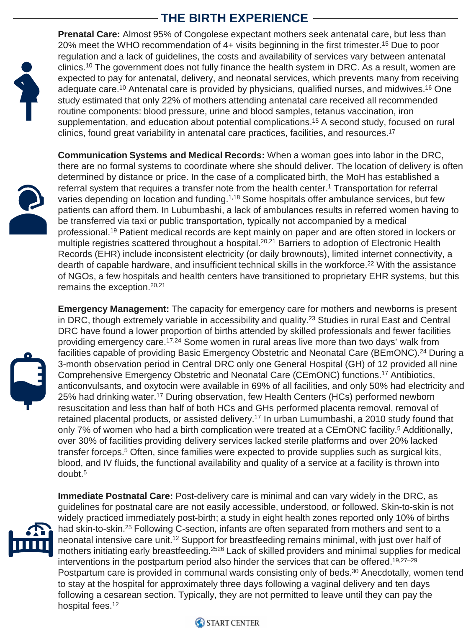# **THE BIRTH EXPERIENCE**



**Prenatal Care:** Almost 95% of Congolese expectant mothers seek antenatal care, but less than 20% meet the WHO recommendation of 4+ visits beginning in the first trimester.15 Due to poor regulation and a lack of guidelines, the costs and availability of services vary between antenatal clinics.<sup>10</sup> The government does not fully finance the health system in DRC. As a result, women are expected to pay for antenatal, delivery, and neonatal services, which prevents many from receiving adequate care.<sup>10</sup> Antenatal care is provided by physicians, qualified nurses, and midwives.<sup>16</sup> One study estimated that only 22% of mothers attending antenatal care received all recommended routine components: blood pressure, urine and blood samples, tetanus vaccination, iron supplementation, and education about potential complications.<sup>15</sup> A second study, focused on rural clinics, found great variability in antenatal care practices, facilities, and resources.<sup>17</sup>



**Communication Systems and Medical Records:** When a woman goes into labor in the DRC, there are no formal systems to coordinate where she should deliver. The location of delivery is often determined by distance or price. In the case of a complicated birth, the MoH has established a referral system that requires a transfer note from the health center.<sup>1</sup> Transportation for referral varies depending on location and funding.<sup>1,18</sup> Some hospitals offer ambulance services, but few patients can afford them. In Lubumbashi, a lack of ambulances results in referred women having to be transferred via taxi or public transportation, typically not accompanied by a medical professional.19 Patient medical records are kept mainly on paper and are often stored in lockers or multiple registries scattered throughout a hospital.<sup>20,21</sup> Barriers to adoption of Electronic Health Records (EHR) include inconsistent electricity (or daily brownouts), limited internet connectivity, a dearth of capable hardware, and insufficient technical skills in the workforce.<sup>22</sup> With the assistance of NGOs, a few hospitals and health centers have transitioned to proprietary EHR systems, but this remains the exception.<sup>20,21</sup>



**Emergency Management:** The capacity for emergency care for mothers and newborns is present in DRC, though extremely variable in accessibility and quality.<sup>23</sup> Studies in rural East and Central DRC have found a lower proportion of births attended by skilled professionals and fewer facilities providing emergency care.17,24 Some women in rural areas live more than two days' walk from facilities capable of providing Basic Emergency Obstetric and Neonatal Care (BEmONC).<sup>24</sup> During a 3-month observation period in Central DRC only one General Hospital (GH) of 12 provided all nine Comprehensive Emergency Obstetric and Neonatal Care (CEmONC) functions.17 Antibiotics, anticonvulsants, and oxytocin were available in 69% of all facilities, and only 50% had electricity and 25% had drinking water.17 During observation, few Health Centers (HCs) performed newborn resuscitation and less than half of both HCs and GHs performed placenta removal, removal of retained placental products, or assisted delivery.<sup>17</sup> In urban Lumumbashi, a 2010 study found that only 7% of women who had a birth complication were treated at a CEmONC facility.<sup>5</sup> Additionally, over 30% of facilities providing delivery services lacked sterile platforms and over 20% lacked transfer forceps.5 Often, since families were expected to provide supplies such as surgical kits, blood, and IV fluids, the functional availability and quality of a service at a facility is thrown into doubt.5



**Immediate Postnatal Care:** Post-delivery care is minimal and can vary widely in the DRC, as guidelines for postnatal care are not easily accessible, understood, or followed. Skin-to-skin is not widely practiced immediately post-birth; a study in eight health zones reported only 10% of births had skin-to-skin.<sup>25</sup> Following C-section, infants are often separated from mothers and sent to a neonatal intensive care unit.12 Support for breastfeeding remains minimal, with just over half of mothers initiating early breastfeeding.2526 Lack of skilled providers and minimal supplies for medical interventions in the postpartum period also hinder the services that can be offered.19,27–29 Postpartum care is provided in communal wards consisting only of beds.<sup>30</sup> Anecdotally, women tend to stay at the hospital for approximately three days following a vaginal delivery and ten days following a cesarean section. Typically, they are not permitted to leave until they can pay the hospital fees.<sup>12</sup>

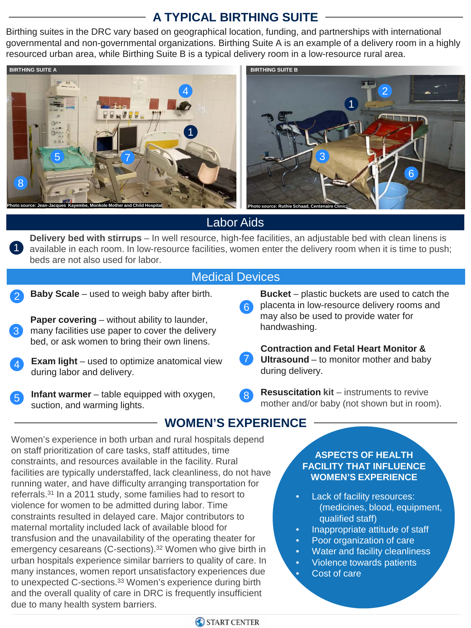# **A TYPICAL BIRTHING SUITE**

Birthing suites in the DRC vary based on geographical location, funding, and partnerships with international governmental and non-governmental organizations. Birthing Suite A is an example of a delivery room in a highly resourced urban area, while Birthing Suite B is a typical delivery room in a low-resource rural area.



## Labor Aids

**Delivery bed with stirrups** – In well resource, high-fee facilities, an adjustable bed with clean linens is available in each room. In low-resource facilities, women enter the delivery room when it is time to push; beds are not also used for labor.

#### Medical Devices

**Baby Scale** – used to weigh baby after birth.

1

**Paper covering** – without ability to launder, many facilities use paper to cover the delivery bed, or ask women to bring their own linens. 3

- **Exam light** used to optimize anatomical view during labor and delivery. 4
- **Infant warmer** table equipped with oxygen, **B Resuscitation kit** instruments to revive mother and/or haby (not shown but in roor suction, and warming lights.

6

**Bucket** – plastic buckets are used to catch the placenta in low-resource delivery rooms and may also be used to provide water for handwashing.

**Contraction and Fetal Heart Monitor & Ultrasound** – to monitor mother and baby during delivery.

mother and/or baby (not shown but in room).  $^{\prime}$  8

**WOMEN'S EXPERIENCE**

Women's experience in both urban and rural hospitals depend on staff prioritization of care tasks, staff attitudes, time constraints, and resources available in the facility. Rural facilities are typically understaffed, lack cleanliness, do not have running water, and have difficulty arranging transportation for referrals.31 In a 2011 study, some families had to resort to violence for women to be admitted during labor. Time constraints resulted in delayed care. Major contributors to maternal mortality included lack of available blood for transfusion and the unavailability of the operating theater for emergency cesareans (C-sections).<sup>32</sup> Women who give birth in urban hospitals experience similar barriers to quality of care. In many instances, women report unsatisfactory experiences due to unexpected C-sections.<sup>33</sup> Women's experience during birth and the overall quality of care in DRC is frequently insufficient due to many health system barriers.

#### **ASPECTS OF HEALTH FACILITY THAT INFLUENCE WOMEN'S EXPERIENCE**

- Lack of facility resources: (medicines, blood, equipment, qualified staff)
- Inappropriate attitude of staff
- Poor organization of care
- Water and facility cleanliness
- Violence towards patients Cost of care